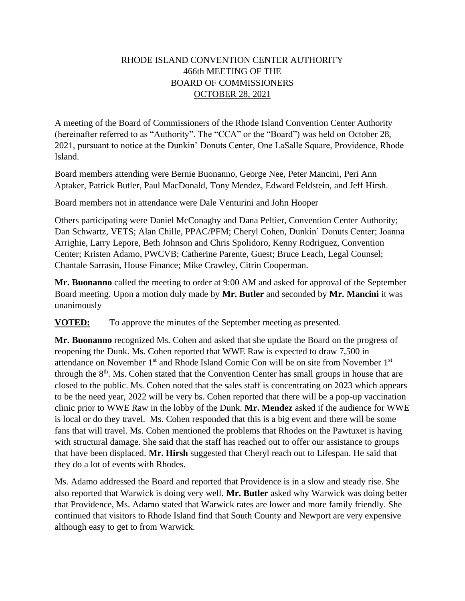## RHODE ISLAND CONVENTION CENTER AUTHORITY 466th MEETING OF THE BOARD OF COMMISSIONERS OCTOBER 28, 2021

A meeting of the Board of Commissioners of the Rhode Island Convention Center Authority (hereinafter referred to as "Authority". The "CCA" or the "Board") was held on October 28, 2021, pursuant to notice at the Dunkin' Donuts Center, One LaSalle Square, Providence, Rhode Island.

Board members attending were Bernie Buonanno, George Nee, Peter Mancini, Peri Ann Aptaker, Patrick Butler, Paul MacDonald, Tony Mendez, Edward Feldstein, and Jeff Hirsh.

Board members not in attendance were Dale Venturini and John Hooper

Others participating were Daniel McConaghy and Dana Peltier, Convention Center Authority; Dan Schwartz, VETS; Alan Chille, PPAC/PFM; Cheryl Cohen, Dunkin' Donuts Center; Joanna Arrighie, Larry Lepore, Beth Johnson and Chris Spolidoro, Kenny Rodriguez, Convention Center; Kristen Adamo, PWCVB; Catherine Parente, Guest; Bruce Leach, Legal Counsel; Chantale Sarrasin, House Finance; Mike Crawley, Citrin Cooperman.

**Mr. Buonanno** called the meeting to order at 9:00 AM and asked for approval of the September Board meeting. Upon a motion duly made by **Mr. Butler** and seconded by **Mr. Mancini** it was unanimously

**VOTED:** To approve the minutes of the September meeting as presented.

**Mr. Buonanno** recognized Ms. Cohen and asked that she update the Board on the progress of reopening the Dunk. Ms. Cohen reported that WWE Raw is expected to draw 7,500 in attendance on November 1<sup>st</sup> and Rhode Island Comic Con will be on site from November 1<sup>st</sup> through the  $8<sup>th</sup>$ . Ms. Cohen stated that the Convention Center has small groups in house that are closed to the public. Ms. Cohen noted that the sales staff is concentrating on 2023 which appears to be the need year, 2022 will be very bs. Cohen reported that there will be a pop-up vaccination clinic prior to WWE Raw in the lobby of the Dunk. **Mr. Mendez** asked if the audience for WWE is local or do they travel. Ms. Cohen responded that this is a big event and there will be some fans that will travel. Ms. Cohen mentioned the problems that Rhodes on the Pawtuxet is having with structural damage. She said that the staff has reached out to offer our assistance to groups that have been displaced. **Mr. Hirsh** suggested that Cheryl reach out to Lifespan. He said that they do a lot of events with Rhodes.

Ms. Adamo addressed the Board and reported that Providence is in a slow and steady rise. She also reported that Warwick is doing very well. **Mr. Butler** asked why Warwick was doing better that Providence, Ms. Adamo stated that Warwick rates are lower and more family friendly. She continued that visitors to Rhode Island find that South County and Newport are very expensive although easy to get to from Warwick.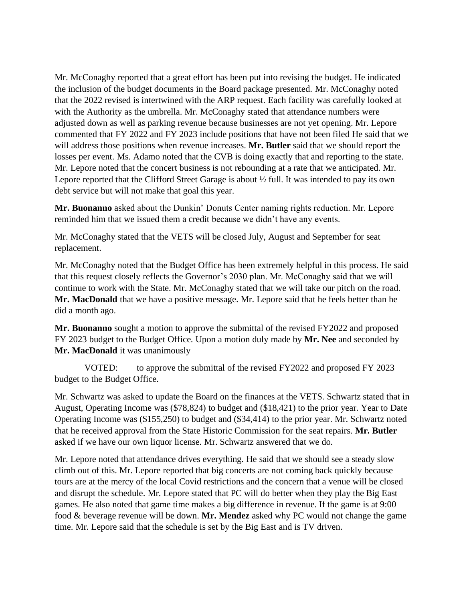Mr. McConaghy reported that a great effort has been put into revising the budget. He indicated the inclusion of the budget documents in the Board package presented. Mr. McConaghy noted that the 2022 revised is intertwined with the ARP request. Each facility was carefully looked at with the Authority as the umbrella. Mr. McConaghy stated that attendance numbers were adjusted down as well as parking revenue because businesses are not yet opening. Mr. Lepore commented that FY 2022 and FY 2023 include positions that have not been filed He said that we will address those positions when revenue increases. **Mr. Butler** said that we should report the losses per event. Ms. Adamo noted that the CVB is doing exactly that and reporting to the state. Mr. Lepore noted that the concert business is not rebounding at a rate that we anticipated. Mr. Lepore reported that the Clifford Street Garage is about ½ full. It was intended to pay its own debt service but will not make that goal this year.

**Mr. Buonanno** asked about the Dunkin' Donuts Center naming rights reduction. Mr. Lepore reminded him that we issued them a credit because we didn't have any events.

Mr. McConaghy stated that the VETS will be closed July, August and September for seat replacement.

Mr. McConaghy noted that the Budget Office has been extremely helpful in this process. He said that this request closely reflects the Governor's 2030 plan. Mr. McConaghy said that we will continue to work with the State. Mr. McConaghy stated that we will take our pitch on the road. **Mr. MacDonald** that we have a positive message. Mr. Lepore said that he feels better than he did a month ago.

**Mr. Buonanno** sought a motion to approve the submittal of the revised FY2022 and proposed FY 2023 budget to the Budget Office. Upon a motion duly made by **Mr. Nee** and seconded by **Mr. MacDonald** it was unanimously

VOTED: to approve the submittal of the revised FY2022 and proposed FY 2023 budget to the Budget Office.

Mr. Schwartz was asked to update the Board on the finances at the VETS. Schwartz stated that in August, Operating Income was (\$78,824) to budget and (\$18,421) to the prior year. Year to Date Operating Income was (\$155,250) to budget and (\$34,414) to the prior year. Mr. Schwartz noted that he received approval from the State Historic Commission for the seat repairs. **Mr. Butler**  asked if we have our own liquor license. Mr. Schwartz answered that we do.

Mr. Lepore noted that attendance drives everything. He said that we should see a steady slow climb out of this. Mr. Lepore reported that big concerts are not coming back quickly because tours are at the mercy of the local Covid restrictions and the concern that a venue will be closed and disrupt the schedule. Mr. Lepore stated that PC will do better when they play the Big East games. He also noted that game time makes a big difference in revenue. If the game is at 9:00 food & beverage revenue will be down. **Mr. Mendez** asked why PC would not change the game time. Mr. Lepore said that the schedule is set by the Big East and is TV driven.